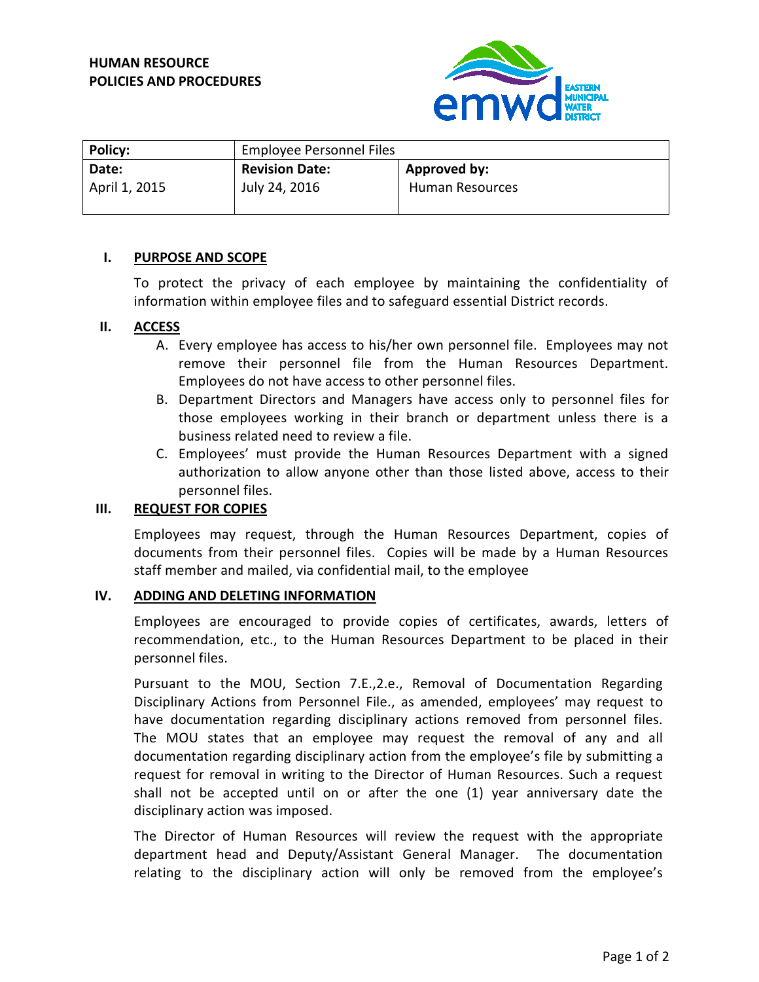

| <b>Policy:</b> | Employee Personnel Files |                 |
|----------------|--------------------------|-----------------|
| Date:          | <b>Revision Date:</b>    | Approved by:    |
| April 1, 2015  | July 24, 2016            | Human Resources |

## **I. PURPOSE AND SCOPE**

To protect the privacy of each employee by maintaining the confidentiality of information within employee files and to safeguard essential District records.

## **II. ACCESS**

- A. Every employee has access to his/her own personnel file. Employees may not remove their personnel file from the Human Resources Department. Employees do not have access to other personnel files.
- B. Department Directors and Managers have access only to personnel files for those employees working in their branch or department unless there is a business related need to review a file.
- C. Employees' must provide the Human Resources Department with a signed authorization to allow anyone other than those listed above, access to their personnel files.

# **III. REQUEST FOR COPIES**

Employees may request, through the Human Resources Department, copies of documents from their personnel files. Copies will be made by a Human Resources staff member and mailed, via confidential mail, to the employee

### **IV. ADDING AND DELETING INFORMATION**

Employees are encouraged to provide copies of certificates, awards, letters of recommendation, etc., to the Human Resources Department to be placed in their personnel files.

Pursuant to the MOU, Section 7.E.,2.e., Removal of Documentation Regarding Disciplinary Actions from Personnel File., as amended, employees' may request to have documentation regarding disciplinary actions removed from personnel files. The MOU states that an employee may request the removal of any and all documentation regarding disciplinary action from the employee's file by submitting a request for removal in writing to the Director of Human Resources. Such a request shall not be accepted until on or after the one (1) year anniversary date the disciplinary action was imposed.

The Director of Human Resources will review the request with the appropriate department head and Deputy/Assistant General Manager. The documentation relating to the disciplinary action will only be removed from the employee's